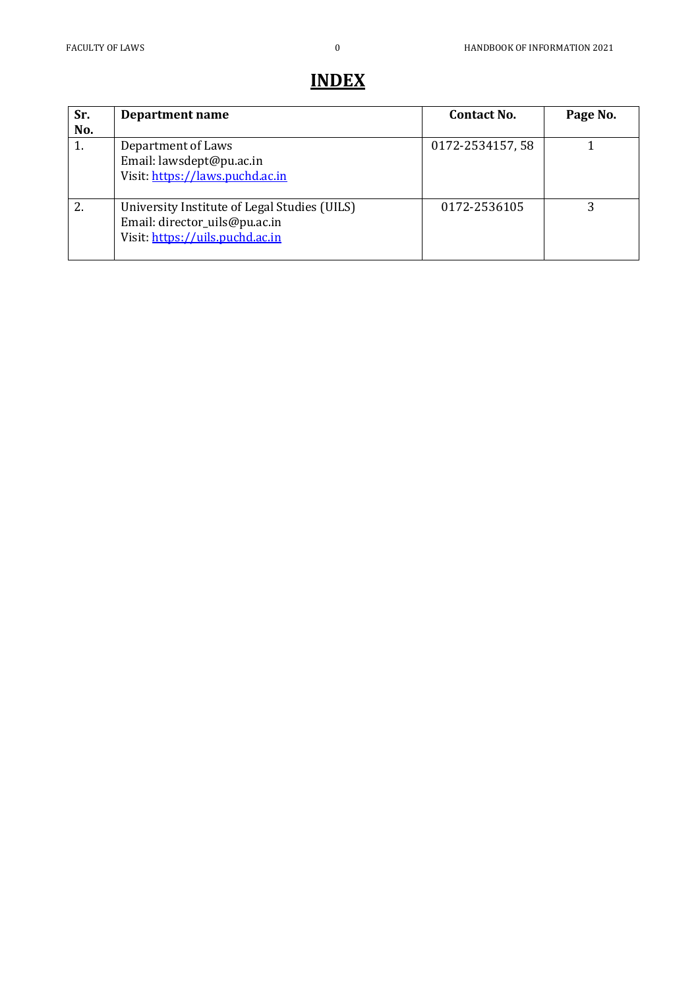# **INDEX**

| Sr.<br>No. | <b>Department name</b>                                                                                           | <b>Contact No.</b> | Page No. |
|------------|------------------------------------------------------------------------------------------------------------------|--------------------|----------|
|            | Department of Laws<br>Email: lawsdept@pu.ac.in<br>Visit: https://laws.puchd.ac.in                                | 0172-2534157,58    |          |
|            | University Institute of Legal Studies (UILS)<br>Email: director_uils@pu.ac.in<br>Visit: https://uils.puchd.ac.in | 0172-2536105       | 3        |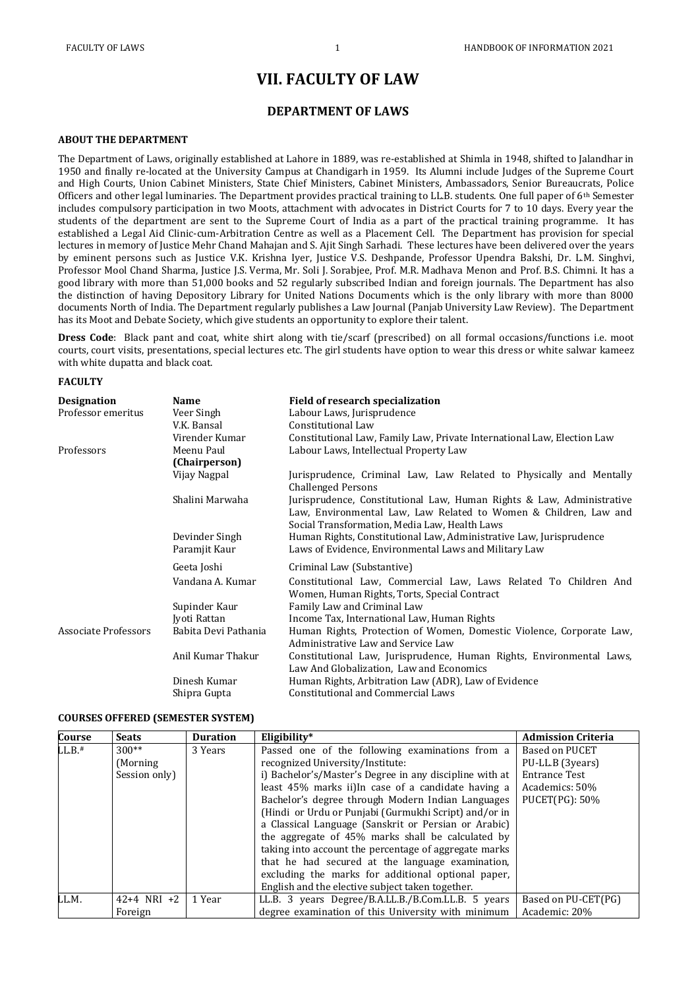## **VII. FACULTY OF LAW**

## **DEPARTMENT OF LAWS**

#### **ABOUT THE DEPARTMENT**

The Department of Laws, originally established at Lahore in 1889, was re-established at Shimla in 1948, shifted to Jalandhar in 1950 and finally re-located at the University Campus at Chandigarh in 1959. Its Alumni include Judges of the Supreme Court and High Courts, Union Cabinet Ministers, State Chief Ministers, Cabinet Ministers, Ambassadors, Senior Bureaucrats, Police Officers and other legal luminaries. The Department provides practical training to LL.B. students. One full paper of 6th Semester includes compulsory participation in two Moots, attachment with advocates in District Courts for 7 to 10 days. Every year the students of the department are sent to the Supreme Court of India as a part of the practical training programme. It has established a Legal Aid Clinic-cum-Arbitration Centre as well as a Placement Cell. The Department has provision for special lectures in memory of Justice Mehr Chand Mahajan and S. Ajit Singh Sarhadi. These lectures have been delivered over the years by eminent persons such as Justice V.K. Krishna Iyer, Justice V.S. Deshpande, Professor Upendra Bakshi, Dr. L.M. Singhvi, Professor Mool Chand Sharma, Justice J.S. Verma, Mr. Soli J. Sorabjee, Prof. M.R. Madhava Menon and Prof. B.S. Chimni. It has a good library with more than 51,000 books and 52 regularly subscribed Indian and foreign journals. The Department has also the distinction of having Depository Library for United Nations Documents which is the only library with more than 8000 documents North of India. The Department regularly publishes a Law Journal (Panjab University Law Review). The Department has its Moot and Debate Society, which give students an opportunity to explore their talent.

**Dress Code**: Black pant and coat, white shirt along with tie/scarf (prescribed) on all formal occasions/functions i.e. moot courts, court visits, presentations, special lectures etc. The girl students have option to wear this dress or white salwar kameez with white dupatta and black coat.

#### **FACULTY**

| Designation          | <b>Name</b>          | Field of research specialization                                                                                                                                                           |  |  |
|----------------------|----------------------|--------------------------------------------------------------------------------------------------------------------------------------------------------------------------------------------|--|--|
| Professor emeritus   | Veer Singh           | Labour Laws, Jurisprudence                                                                                                                                                                 |  |  |
|                      | V.K. Bansal          | Constitutional Law                                                                                                                                                                         |  |  |
|                      | Virender Kumar       | Constitutional Law, Family Law, Private International Law, Election Law                                                                                                                    |  |  |
| Professors           | Meenu Paul           | Labour Laws, Intellectual Property Law                                                                                                                                                     |  |  |
|                      | (Chairperson)        |                                                                                                                                                                                            |  |  |
|                      | Vijay Nagpal         | Jurisprudence, Criminal Law, Law Related to Physically and Mentally<br><b>Challenged Persons</b>                                                                                           |  |  |
|                      | Shalini Marwaha      | Jurisprudence, Constitutional Law, Human Rights & Law, Administrative<br>Law, Environmental Law, Law Related to Women & Children, Law and<br>Social Transformation, Media Law, Health Laws |  |  |
|                      | Devinder Singh       | Human Rights, Constitutional Law, Administrative Law, Jurisprudence                                                                                                                        |  |  |
|                      | Paramjit Kaur        | Laws of Evidence, Environmental Laws and Military Law                                                                                                                                      |  |  |
|                      | Geeta Joshi          | Criminal Law (Substantive)                                                                                                                                                                 |  |  |
|                      | Vandana A. Kumar     | Constitutional Law, Commercial Law, Laws Related To Children And<br>Women, Human Rights, Torts, Special Contract                                                                           |  |  |
|                      | Supinder Kaur        | Family Law and Criminal Law                                                                                                                                                                |  |  |
|                      | Jyoti Rattan         | Income Tax, International Law, Human Rights                                                                                                                                                |  |  |
| Associate Professors | Babita Devi Pathania | Human Rights, Protection of Women, Domestic Violence, Corporate Law,<br>Administrative Law and Service Law                                                                                 |  |  |
|                      | Anil Kumar Thakur    | Constitutional Law, Jurisprudence, Human Rights, Environmental Laws,<br>Law And Globalization, Law and Economics                                                                           |  |  |
|                      | Dinesh Kumar         | Human Rights, Arbitration Law (ADR), Law of Evidence                                                                                                                                       |  |  |
|                      | Shipra Gupta         | <b>Constitutional and Commercial Laws</b>                                                                                                                                                  |  |  |

#### **COURSES OFFERED (SEMESTER SYSTEM)**

| Course   | <b>Seats</b>    | <b>Duration</b> | Eligibility*                                            | <b>Admission Criteria</b> |
|----------|-----------------|-----------------|---------------------------------------------------------|---------------------------|
| $LL.B.*$ | $300**$         | 3 Years         | Passed one of the following examinations from a         | Based on PUCET            |
|          | (Morning)       |                 | recognized University/Institute:                        | PU-LL.B (3years)          |
|          | Session only)   |                 | i) Bachelor's/Master's Degree in any discipline with at | <b>Entrance Test</b>      |
|          |                 |                 | least 45% marks ii)In case of a candidate having a      | Academics: 50%            |
|          |                 |                 | Bachelor's degree through Modern Indian Languages       | $PUCET(PG): 50\%$         |
|          |                 |                 | (Hindi or Urdu or Punjabi (Gurmukhi Script) and/or in   |                           |
|          |                 |                 | a Classical Language (Sanskrit or Persian or Arabic)    |                           |
|          |                 |                 | the aggregate of 45% marks shall be calculated by       |                           |
|          |                 |                 | taking into account the percentage of aggregate marks   |                           |
|          |                 |                 | that he had secured at the language examination.        |                           |
|          |                 |                 | excluding the marks for additional optional paper,      |                           |
|          |                 |                 | English and the elective subject taken together.        |                           |
| LL.M.    | $42+4$ NRI $+2$ | 1 Year          | LL.B. 3 years Degree/B.A.LL.B./B.Com.LL.B. 5 years      | Based on PU-CET(PG)       |
|          | Foreign         |                 | degree examination of this University with minimum      | Academic: 20%             |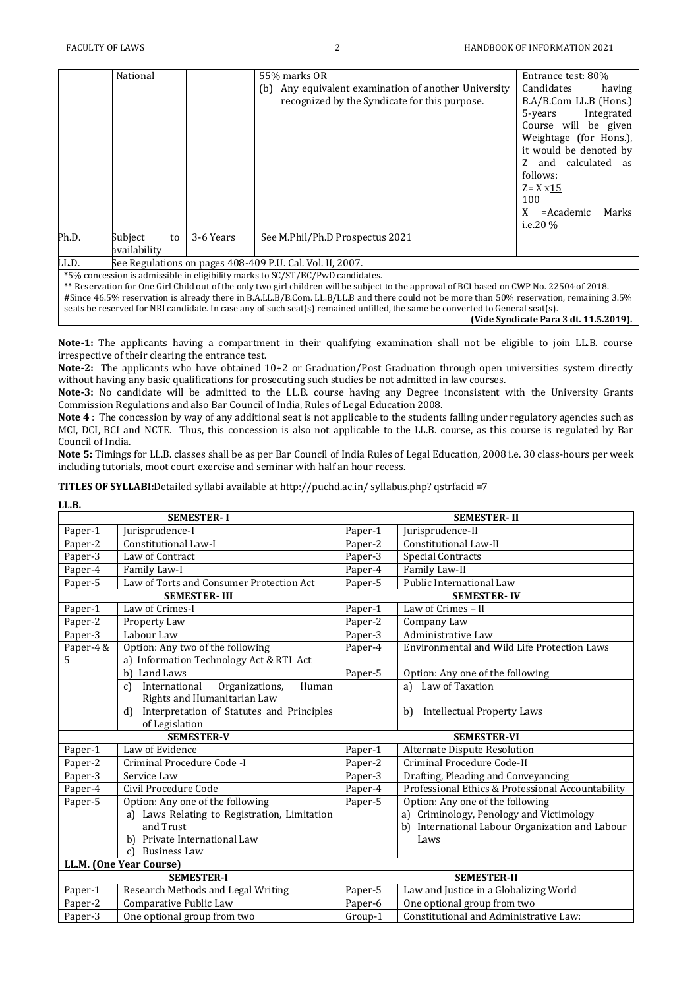**LL.B.**

|       | National     |    |           | 55% marks OR                                              | Entrance test: 80%         |
|-------|--------------|----|-----------|-----------------------------------------------------------|----------------------------|
|       |              |    |           | Any equivalent examination of another University<br>(b)   | Candidates<br>having       |
|       |              |    |           | recognized by the Syndicate for this purpose.             | B.A/B.Com LL.B (Hons.)     |
|       |              |    |           |                                                           | Integrated<br>5-years      |
|       |              |    |           |                                                           | Course will be given       |
|       |              |    |           |                                                           | Weightage (for Hons.),     |
|       |              |    |           |                                                           | it would be denoted by     |
|       |              |    |           |                                                           | and calculated as<br>7.    |
|       |              |    |           |                                                           | follows:                   |
|       |              |    |           |                                                           | $Z = X \times 15$          |
|       |              |    |           |                                                           | 100                        |
|       |              |    |           |                                                           | $=$ Academic<br>X<br>Marks |
|       |              |    |           |                                                           | i.e.20 $%$                 |
| Ph.D. | Subject      | to | 3-6 Years | See M.Phil/Ph.D Prospectus 2021                           |                            |
|       | availabilitv |    |           |                                                           |                            |
| LL.D. |              |    |           | See Regulations on pages 408-409 P.U. Cal. Vol. II, 2007. |                            |

\*5% concession is admissible in eligibility marks to SC/ST/BC/PwD candidates. \*\* Reservation for One Girl Child out of the only two girl children will be subject to the approval of BCI based on CWP No. 22504 of 2018.

#Since 46.5% reservation is already there in B.A.LL.B/B.Com. LL.B/LL.B and there could not be more than 50% reservation, remaining 3.5% seats be reserved for NRI candidate. In case any of such seat(s) remained unfilled, the same be converted to General seat(s).

**(Vide Syndicate Para 3 dt. 11.5.2019).**

**Note-1:** The applicants having a compartment in their qualifying examination shall not be eligible to join LL.B. course irrespective of their clearing the entrance test.

**Note-2:** The applicants who have obtained 10+2 or Graduation/Post Graduation through open universities system directly without having any basic qualifications for prosecuting such studies be not admitted in law courses.

**Note-3:** No candidate will be admitted to the LL.B. course having any Degree inconsistent with the University Grants Commission Regulations and also Bar Council of India, Rules of Legal Education 2008.

Note 4 : The concession by way of any additional seat is not applicable to the students falling under regulatory agencies such as MCI, DCI, BCI and NCTE. Thus, this concession is also not applicable to the LL.B. course, as this course is regulated by Bar Council of India.

**Note 5:** Timings for LL.B. classes shall be as per Bar Council of India Rules of Legal Education, 2008 i.e. 30 class-hours per week including tutorials, moot court exercise and seminar with half an hour recess.

**TITLES OF SYLLABI:**Detailed syllabi available a[t http://puchd.ac.in/ syllabus.php? qstrfacid =7](http://puchd.ac.in/%20syllabus.php?%20qstrfacid%20=7)

| LL.D.     |                                                           |                    |                                                   |  |
|-----------|-----------------------------------------------------------|--------------------|---------------------------------------------------|--|
|           | <b>SEMESTER-I</b>                                         | <b>SEMESTER-II</b> |                                                   |  |
| Paper-1   | Jurisprudence-I                                           | Paper-1            | Jurisprudence-II                                  |  |
| Paper-2   | <b>Constitutional Law-I</b>                               | Paper-2            | Constitutional Law-II                             |  |
| Paper-3   | Law of Contract                                           | Paper-3            | <b>Special Contracts</b>                          |  |
| Paper-4   | Family Law-I                                              | Paper-4            | Family Law-II                                     |  |
| Paper-5   | Law of Torts and Consumer Protection Act                  | Paper-5            | Public International Law                          |  |
|           | <b>SEMESTER-III</b>                                       |                    | <b>SEMESTER-IV</b>                                |  |
| Paper-1   | Law of Crimes-I                                           | Paper-1            | Law of Crimes $-$ II                              |  |
| Paper-2   | Property Law                                              | Paper-2            | Company Law                                       |  |
| Paper-3   | Labour Law                                                | Paper-3            | Administrative Law                                |  |
| Paper-4 & | Option: Any two of the following                          | Paper-4            | Environmental and Wild Life Protection Laws       |  |
| 5         | a) Information Technology Act & RTI Act                   |                    |                                                   |  |
|           | b) Land Laws                                              | Paper-5            | Option: Any one of the following                  |  |
|           | International<br>Organizations,<br>$\mathcal{C}$<br>Human |                    | a) Law of Taxation                                |  |
|           | Rights and Humanitarian Law                               |                    |                                                   |  |
|           | Interpretation of Statutes and Principles<br>d)           |                    | <b>Intellectual Property Laws</b><br>b)           |  |
|           | of Legislation                                            |                    |                                                   |  |
|           | <b>SEMESTER-V</b>                                         |                    | <b>SEMESTER-VI</b>                                |  |
| Paper-1   | Law of Evidence                                           | Paper-1            | Alternate Dispute Resolution                      |  |
| Paper-2   | Criminal Procedure Code -I                                | Paper-2            | Criminal Procedure Code-II                        |  |
| Paper-3   | Service Law                                               | Paper-3            | Drafting, Pleading and Conveyancing               |  |
| Paper-4   | Civil Procedure Code                                      | Paper-4            | Professional Ethics & Professional Accountability |  |
| Paper-5   | Option: Any one of the following                          | Paper-5            | Option: Any one of the following                  |  |
|           | a) Laws Relating to Registration, Limitation              |                    | a) Criminology, Penology and Victimology          |  |
|           | and Trust                                                 |                    | b) International Labour Organization and Labour   |  |
|           | b) Private International Law                              |                    | Laws                                              |  |
|           | <b>Business Law</b><br>$\mathcal{C}$                      |                    |                                                   |  |
|           | LL.M. (One Year Course)                                   |                    |                                                   |  |
|           | <b>SEMESTER-I</b>                                         |                    | <b>SEMESTER-II</b>                                |  |
| Paper-1   | Research Methods and Legal Writing                        | Paper-5            | Law and Justice in a Globalizing World            |  |
| Paper-2   | Comparative Public Law                                    | Paper-6            | One optional group from two                       |  |
| Paper-3   | One optional group from two                               | Group-1            | Constitutional and Administrative Law:            |  |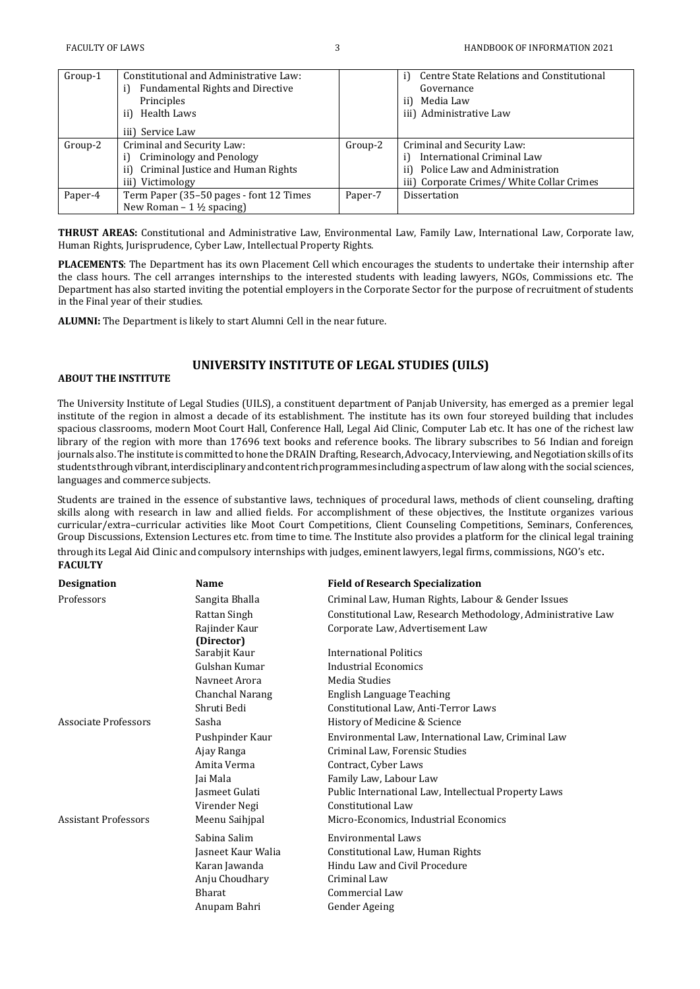| Group-1 | Constitutional and Administrative Law:<br><b>Fundamental Rights and Directive</b><br>i)<br>Principles<br>ii) Health Laws<br>iii) Service Law |         | Centre State Relations and Constitutional<br>i)<br>Governance<br>ii) Media Law<br>iii) Administrative Law |
|---------|----------------------------------------------------------------------------------------------------------------------------------------------|---------|-----------------------------------------------------------------------------------------------------------|
| Group-2 | Criminal and Security Law:                                                                                                                   | Group-2 | Criminal and Security Law:                                                                                |
|         | Criminology and Penology<br>i)                                                                                                               |         | International Criminal Law<br>i)                                                                          |
|         | Criminal Justice and Human Rights<br>ii)                                                                                                     |         | ii) Police Law and Administration                                                                         |
|         | iii) Victimology                                                                                                                             |         | iii) Corporate Crimes/ White Collar Crimes                                                                |
| Paper-4 | Term Paper (35-50 pages - font 12 Times                                                                                                      | Paper-7 | Dissertation                                                                                              |
|         | New Roman $-1\frac{1}{2}$ spacing)                                                                                                           |         |                                                                                                           |

**THRUST AREAS:** Constitutional and Administrative Law, Environmental Law, Family Law, International Law, Corporate law, Human Rights, Jurisprudence, Cyber Law, Intellectual Property Rights.

**PLACEMENTS**: The Department has its own Placement Cell which encourages the students to undertake their internship after the class hours. The cell arranges internships to the interested students with leading lawyers, NGOs, Commissions etc. The Department has also started inviting the potential employers in the Corporate Sector for the purpose of recruitment of students in the Final year of their studies.

**ALUMNI:** The Department is likely to start Alumni Cell in the near future.

## **UNIVERSITY INSTITUTE OF LEGAL STUDIES (UILS)**

#### **ABOUT THE INSTITUTE**

The University Institute of Legal Studies (UILS), a constituent department of Panjab University, has emerged as a premier legal institute of the region in almost a decade of its establishment. The institute has its own four storeyed building that includes spacious classrooms, modern Moot Court Hall, Conference Hall, Legal Aid Clinic, Computer Lab etc. It has one of the richest law library of the region with more than 17696 text books and reference books. The library subscribes to 56 Indian and foreign journals also. The institute is committed to hone the DRAIN Drafting, Research, Advocacy, Interviewing, and Negotiation skills of its studentsthroughvibrant,interdisciplinaryandcontentrichprogrammes includingaspectrum of law along with the social sciences, languages and commerce subjects.

Students are trained in the essence of substantive laws, techniques of procedural laws, methods of client counseling, drafting skills along with research in law and allied fields. For accomplishment of these objectives, the Institute organizes various curricular/extra–curricular activities like Moot Court Competitions, Client Counseling Competitions, Seminars, Conferences, Group Discussions, Extension Lectures etc. from time to time. The Institute also provides a platform for the clinical legal training through its Legal Aid Clinic and compulsory internships with judges, eminent lawyers, legal firms, commissions, NGO's etc. **FACULTY**

| <b>Designation</b>          | Name                                                                                                   | <b>Field of Research Specialization</b>                                                                                                                                                                              |
|-----------------------------|--------------------------------------------------------------------------------------------------------|----------------------------------------------------------------------------------------------------------------------------------------------------------------------------------------------------------------------|
| Professors                  | Sangita Bhalla                                                                                         | Criminal Law, Human Rights, Labour & Gender Issues                                                                                                                                                                   |
|                             | Rattan Singh                                                                                           | Constitutional Law, Research Methodology, Administrative Law                                                                                                                                                         |
|                             | Rajinder Kaur<br>(Director)                                                                            | Corporate Law, Advertisement Law                                                                                                                                                                                     |
|                             | Sarabjit Kaur                                                                                          | International Politics                                                                                                                                                                                               |
|                             | Gulshan Kumar                                                                                          | <b>Industrial Economics</b>                                                                                                                                                                                          |
|                             | Navneet Arora                                                                                          | Media Studies                                                                                                                                                                                                        |
|                             | Chanchal Narang                                                                                        | English Language Teaching                                                                                                                                                                                            |
|                             | Shruti Bedi                                                                                            | Constitutional Law, Anti-Terror Laws                                                                                                                                                                                 |
| <b>Associate Professors</b> | Sasha                                                                                                  | History of Medicine & Science                                                                                                                                                                                        |
|                             | Pushpinder Kaur<br>Ajay Ranga<br>Amita Verma<br>Jai Mala<br>Jasmeet Gulati<br>Virender Negi            | Environmental Law, International Law, Criminal Law<br>Criminal Law, Forensic Studies<br>Contract, Cyber Laws<br>Family Law, Labour Law<br>Public International Law, Intellectual Property Laws<br>Constitutional Law |
| <b>Assistant Professors</b> | Meenu Saihjpal                                                                                         | Micro-Economics, Industrial Economics                                                                                                                                                                                |
|                             | Sabina Salim<br>Jasneet Kaur Walia<br>Karan Jawanda<br>Anju Choudhary<br><b>Bharat</b><br>Anupam Bahri | Environmental Laws<br>Constitutional Law, Human Rights<br>Hindu Law and Civil Procedure<br>Criminal Law<br>Commercial Law<br><b>Gender Ageing</b>                                                                    |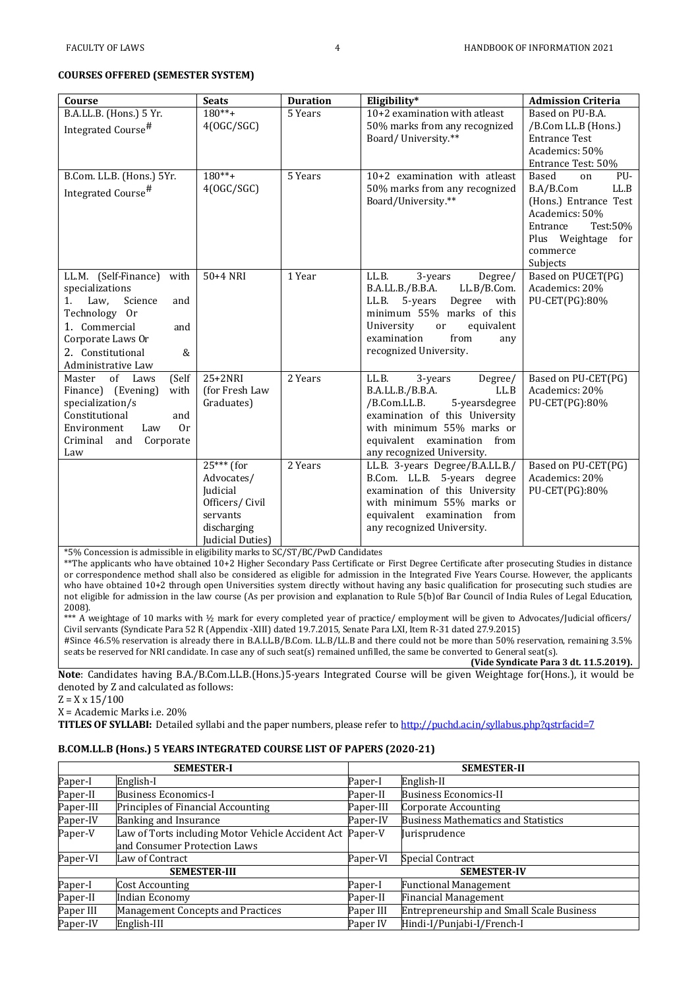#### **COURSES OFFERED (SEMESTER SYSTEM)**

|                                                                                                                                                                                               |                                                                                                                 | <b>Duration</b> |                                                                                                                                                                                                                          |                                                                                                                                                                        |
|-----------------------------------------------------------------------------------------------------------------------------------------------------------------------------------------------|-----------------------------------------------------------------------------------------------------------------|-----------------|--------------------------------------------------------------------------------------------------------------------------------------------------------------------------------------------------------------------------|------------------------------------------------------------------------------------------------------------------------------------------------------------------------|
| Course                                                                                                                                                                                        | <b>Seats</b>                                                                                                    |                 | Eligibility*                                                                                                                                                                                                             | <b>Admission Criteria</b>                                                                                                                                              |
| B.A.LL.B. (Hons.) 5 Yr.<br>Integrated Course <sup>#</sup>                                                                                                                                     | $180***$<br>4(OGC/SGC)                                                                                          | 5 Years         | 10+2 examination with atleast<br>50% marks from any recognized<br>Board/University.**                                                                                                                                    | Based on PU-B.A.<br>/B.Com LL.B (Hons.)<br><b>Entrance Test</b><br>Academics: 50%<br>Entrance Test: 50%                                                                |
| B.Com. LL.B. (Hons.) 5Yr.<br>Integrated Course <sup>#</sup>                                                                                                                                   | $180***$<br>4(OGC/SGC)                                                                                          | 5 Years         | 10+2 examination with atleast<br>50% marks from any recognized<br>Board/University.**                                                                                                                                    | Based<br>PU-<br><sub>on</sub><br>B.A/B.Com<br>LL.B<br>(Hons.) Entrance Test<br>Academics: 50%<br>Test:50%<br>Entrance<br>Plus Weightage<br>for<br>commerce<br>Subjects |
| LL.M. (Self-Finance)<br>with<br>specializations<br>Science<br>Law,<br>1.<br>and<br>Technology Or<br>1. Commercial<br>and<br>Corporate Laws Or<br>2. Constitutional<br>&<br>Administrative Law | $50+4$ NRI                                                                                                      | 1 Year          | LL.B.<br>Degree/<br>3-years<br>B.A.LL.B./B.B.A.<br>LL.B/B.Com.<br>LL.B.<br>5-years<br>Degree with<br>minimum 55% marks of this<br>University<br>equivalent<br>or<br>from<br>examination<br>any<br>recognized University. | Based on PUCET(PG)<br>Academics: 20%<br>PU-CET(PG):80%                                                                                                                 |
| of Laws<br>Master<br>(Self<br>Finance) (Evening)<br>with<br>specialization/s<br>Constitutional<br>and<br>Environment<br>0r<br>Law<br>Criminal<br>and Corporate<br>Law                         | $25+2NRI$<br>(for Fresh Law<br>Graduates)                                                                       | 2 Years         | LL.B.<br>3-years<br>Degree/<br>B.A.LL.B./B.B.A.<br>LLB<br>/B.Com.LL.B.<br>5-yearsdegree<br>examination of this University<br>with minimum 55% marks or<br>equivalent examination from<br>any recognized University.      | Based on PU-CET(PG)<br>Academics: 20%<br>PU-CET(PG):80%                                                                                                                |
|                                                                                                                                                                                               | $25***$ (for<br>Advocates/<br>Judicial<br>Officers/Civil<br>servants<br>discharging<br><b>Judicial Duties</b> ) | 2 Years         | LL.B. 3-years Degree/B.A.LL.B./<br>B.Com. LL.B. 5-years degree<br>examination of this University<br>with minimum 55% marks or<br>equivalent examination from<br>any recognized University.                               | Based on PU-CET(PG)<br>Academics: 20%<br>PU-CET(PG):80%                                                                                                                |

\*5% Concession is admissible in eligibility marks to SC/ST/BC/PwD Candidates

\*\*The applicants who have obtained 10+2 Higher Secondary Pass Certificate or First Degree Certificate after prosecuting Studies in distance or correspondence method shall also be considered as eligible for admission in the Integrated Five Years Course. However, the applicants who have obtained 10+2 through open Universities system directly without having any basic qualification for prosecuting such studies are not eligible for admission in the law course (As per provision and explanation to Rule 5(b)of Bar Council of India Rules of Legal Education, 2008).

\*\*\* A weightage of 10 marks with 1/2 mark for every completed year of practice/ employment will be given to Advocates/Judicial officers/ Civil servants (Syndicate Para 52 R (Appendix -XIII) dated 19.7.2015, Senate Para LXI, Item R-31 dated 27.9.2015)

#Since 46.5% reservation is already there in B.A.LL.B/B.Com. LL.B/LL.B and there could not be more than 50% reservation, remaining 3.5% seats be reserved for NRI candidate. In case any of such seat(s) remained unfilled, the same be converted to General seat(s).

**(Vide Syndicate Para 3 dt. 11.5.2019).**

**Note**: Candidates having B.A./B.Com.LL.B.(Hons.)5-years Integrated Course will be given Weightage for(Hons.), it would be denoted by Z and calculated as follows:

 $Z = X \times 15/100$ 

X = Academic Marks i.e. 20%

**TITLES OF SYLLABI:** Detailed syllabi and the paper numbers, please refer to <http://puchd.ac.in/syllabus.php?qstrfacid=7>

### **B.COM.LL.B (Hons.) 5 YEARS INTEGRATED COURSE LIST OF PAPERS (2020-21)**

|           | <b>SEMESTER-I</b>                                         |           | <b>SEMESTER-II</b>                         |
|-----------|-----------------------------------------------------------|-----------|--------------------------------------------|
| Paper-I   | English-I                                                 | Paper-I   | English-II                                 |
| Paper-II  | <b>Business Economics-I</b>                               | Paper-II  | <b>Business Economics-II</b>               |
| Paper-III | Principles of Financial Accounting                        | Paper-III | Corporate Accounting                       |
| Paper-IV  | <b>Banking and Insurance</b>                              | Paper-IV  | <b>Business Mathematics and Statistics</b> |
| Paper-V   | Law of Torts including Motor Vehicle Accident Act Paper-V |           | Jurisprudence                              |
|           | and Consumer Protection Laws                              |           |                                            |
| Paper-VI  | Law of Contract                                           | Paper-VI  | Special Contract                           |
|           | <b>SEMESTER-III</b>                                       |           | <b>SEMESTER-IV</b>                         |
| Paper-I   | Cost Accounting                                           | Paper-I   | <b>Functional Management</b>               |
| Paper-II  | Indian Economy                                            | Paper-II  | <b>Financial Management</b>                |
| Paper III | Management Concepts and Practices                         | Paper III | Entrepreneurship and Small Scale Business  |
| Paper-IV  | English-III                                               | Paper IV  | Hindi-I/Punjabi-I/French-I                 |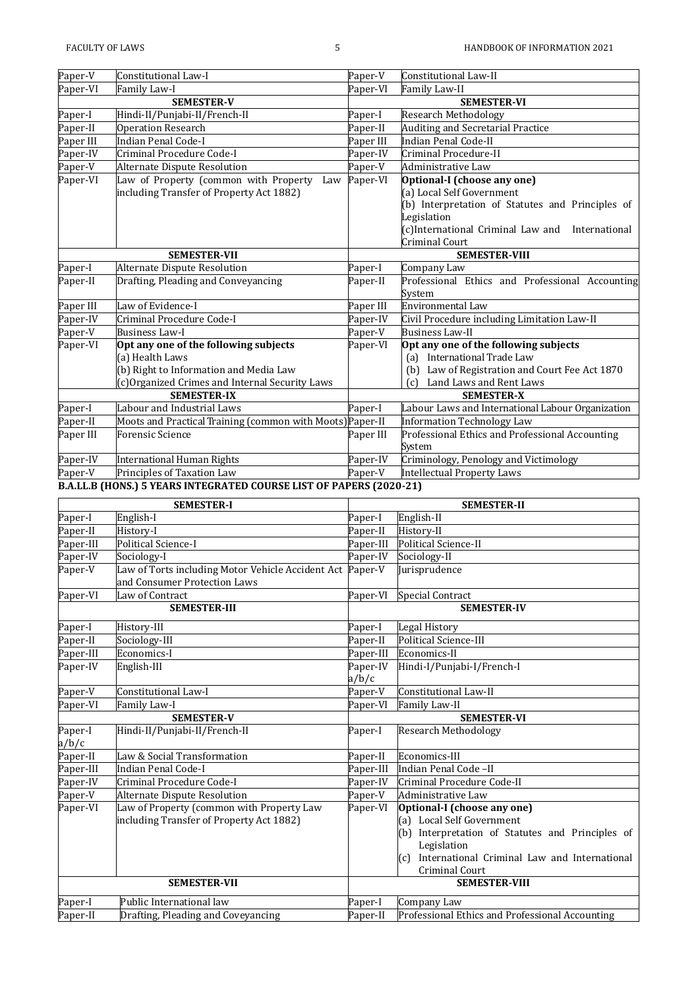| Paper-V             | Constitutional Law-I                                                              | Paper-V                      | Constitutional Law-II                                            |
|---------------------|-----------------------------------------------------------------------------------|------------------------------|------------------------------------------------------------------|
| Paper-VI            | Family Law-I                                                                      | Paper-VI                     | Family Law-II                                                    |
|                     | <b>SEMESTER-V</b>                                                                 |                              | <b>SEMESTER-VI</b>                                               |
| Paper-I             | Hindi-II/Punjabi-II/French-II                                                     | Paper-I                      | <b>Research Methodology</b>                                      |
| Paper-II            | <b>Operation Research</b><br><b>Indian Penal Code-I</b>                           | Paper-II                     | <b>Auditing and Secretarial Practice</b><br>Indian Penal Code-II |
| Paper III           |                                                                                   | Paper III                    | Criminal Procedure-II                                            |
| Paper-IV<br>Paper-V | Criminal Procedure Code-I<br>Alternate Dispute Resolution                         | Paper-IV<br>Paper-V          | Administrative Law                                               |
| Paper-VI            | Law of Property (common with Property<br>Law                                      | Paper-VI                     | Optional-I (choose any one)                                      |
|                     | including Transfer of Property Act 1882)                                          |                              | (a) Local Self Government                                        |
|                     |                                                                                   |                              | (b) Interpretation of Statutes and Principles of                 |
|                     |                                                                                   |                              | Legislation                                                      |
|                     |                                                                                   |                              | (c)International Criminal Law and International                  |
|                     |                                                                                   |                              | <b>Criminal Court</b>                                            |
|                     | <b>SEMESTER-VII</b>                                                               |                              | <b>SEMESTER-VIII</b>                                             |
| Paper-I             | <b>Alternate Dispute Resolution</b>                                               | Paper-I                      | Company Law                                                      |
| Paper-II            | Drafting, Pleading and Conveyancing                                               | $\overline{\text{Paper II}}$ | Professional Ethics and Professional Accounting                  |
|                     |                                                                                   |                              | System                                                           |
| Paper III           | Law of Evidence-I                                                                 | Paper III                    | Environmental Law                                                |
| Paper-IV            | Criminal Procedure Code-I                                                         | Paper-IV                     | Civil Procedure including Limitation Law-II                      |
| Paper-V             | <b>Business Law-I</b>                                                             | Paper-V                      | <b>Business Law-II</b>                                           |
| Paper-VI            | Opt any one of the following subjects                                             | Paper-VI                     | Opt any one of the following subjects                            |
|                     | (a) Health Laws                                                                   |                              | (a) International Trade Law                                      |
|                     | (b) Right to Information and Media Law                                            |                              | (b) Law of Registration and Court Fee Act 1870                   |
|                     | (c) Organized Crimes and Internal Security Laws                                   |                              | (c) Land Laws and Rent Laws                                      |
|                     | <b>SEMESTER-IX</b>                                                                |                              | <b>SEMESTER-X</b>                                                |
| Paper-I             | Labour and Industrial Laws                                                        | Paper-I                      | Labour Laws and International Labour Organization                |
| Paper-II            | Moots and Practical Training (common with Moots) Paper-II                         |                              | Information Technology Law                                       |
| Paper III           | <b>Forensic Science</b>                                                           | Paper III                    | Professional Ethics and Professional Accounting                  |
|                     |                                                                                   |                              | System                                                           |
| Paper-IV            | <b>International Human Rights</b>                                                 | Paper-IV                     | Criminology, Penology and Victimology                            |
| Paper-V             | Principles of Taxation Law                                                        | Paper-V                      | <b>Intellectual Property Laws</b>                                |
|                     | B.A.LL.B (HONS.) 5 YEARS INTEGRATED COURSE LIST OF PAPERS (2020-21)               |                              |                                                                  |
|                     | <b>SEMESTER-I</b>                                                                 |                              | <b>SEMESTER-II</b>                                               |
| Paper-I             | English-I                                                                         | Paper-I                      | English-II                                                       |
| Paper-II            | History-I                                                                         | Paper-II                     | History-II                                                       |
| Paper-III           | Political Science-I                                                               | Paper-III                    | Political Science-II                                             |
| Paper-IV            | Sociology-I                                                                       | Paper-IV                     | Sociology-II                                                     |
| Paper-V             | Law of Torts including Motor Vehicle Accident Act<br>and Consumer Protection Laws | Paper-V                      | Jurisprudence                                                    |
| Paper-VI            | Law of Contract                                                                   | Paper-VI                     | Special Contract                                                 |
|                     | <b>SEMESTER-III</b>                                                               |                              | <b>SEMESTER-IV</b>                                               |
| Paper-I             | History-III                                                                       | Paper-I                      | Legal History                                                    |
| Paper-II            | Sociology-III                                                                     | Paper-II                     | Political Science-III                                            |
| Paper-III           | Economics-I                                                                       | Paper-III                    | Economics-II                                                     |
| Paper-IV            | English-III                                                                       | Paper-IV                     | Hindi-I/Punjabi-I/French-I                                       |
|                     |                                                                                   | a/b/c                        |                                                                  |
| Paper-V             | Constitutional Law-I                                                              | Paper-V                      | Constitutional Law-II                                            |
| Paper-VI            | Family Law-I                                                                      | Paper-VI                     | Family Law-II                                                    |
|                     | <b>SEMESTER-V</b>                                                                 |                              | <b>SEMESTER-VI</b>                                               |
| Paper-I             | Hindi-II/Punjabi-II/French-II                                                     | Paper-I                      | <b>Research Methodology</b>                                      |
| a/b/c               |                                                                                   |                              |                                                                  |
| Paper-II            | Law & Social Transformation                                                       | Paper-II                     | Economics-III                                                    |
| Paper-III           | Indian Penal Code-I                                                               | Paper-III                    | Indian Penal Code-II                                             |
| Paper-IV            | Criminal Procedure Code-I                                                         | Paper-IV                     | Criminal Procedure Code-II                                       |
| Paper-V             | Alternate Dispute Resolution                                                      | Paper-V                      | Administrative Law                                               |
| Paper-VI            | Law of Property (common with Property Law                                         | Paper-VI                     | Optional-I (choose any one)                                      |
|                     | including Transfer of Property Act 1882)                                          |                              | (a) Local Self Government                                        |
|                     |                                                                                   |                              | (b) Interpretation of Statutes and Principles of                 |
|                     |                                                                                   |                              | Legislation                                                      |
|                     |                                                                                   |                              | (c) International Criminal Law and International                 |
|                     |                                                                                   |                              | Criminal Court                                                   |
|                     | <b>SEMESTER-VII</b>                                                               |                              | <b>SEMESTER-VIII</b>                                             |
|                     | Public International law                                                          |                              | Company Law                                                      |
| Paper-I<br>Paper-II | Drafting, Pleading and Coveyancing                                                | Paper-I<br>Paper-II          | Professional Ethics and Professional Accounting                  |
|                     |                                                                                   |                              |                                                                  |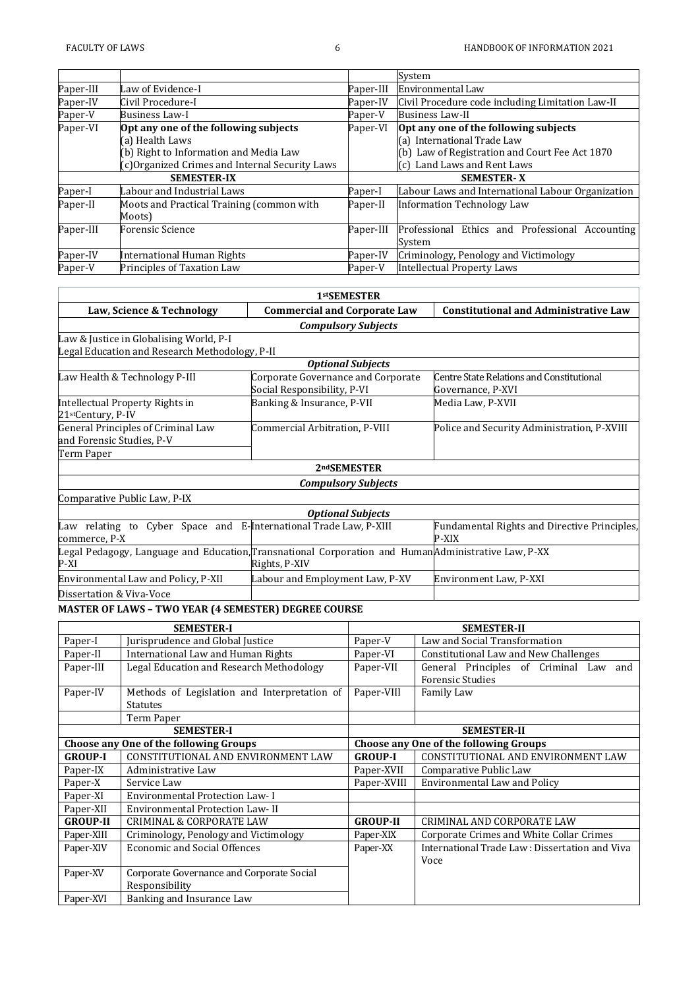|           |                                                     |           | System                                                                                   |
|-----------|-----------------------------------------------------|-----------|------------------------------------------------------------------------------------------|
| Paper-III | Law of Evidence-I                                   | Paper-III | Environmental Law                                                                        |
| Paper-IV  | Civil Procedure-I                                   | Paper-IV  | Civil Procedure code including Limitation Law-II                                         |
| Paper-V   | <b>Business Law-I</b>                               | Paper-V   | <b>Business Law-II</b>                                                                   |
| Paper-VI  | Opt any one of the following subjects               | Paper-VI  | Opt any one of the following subjects                                                    |
|           | (a) Health Laws                                     |           | (a) International Trade Law                                                              |
|           | (b) Right to Information and Media Law              |           | (b) Law of Registration and Court Fee Act 1870                                           |
|           | (c)Organized Crimes and Internal Security Laws      |           | (c) Land Laws and Rent Laws                                                              |
|           |                                                     |           |                                                                                          |
|           | <b>SEMESTER-IX</b>                                  |           | <b>SEMESTER-X</b>                                                                        |
| Paper-I   | Labour and Industrial Laws                          | Paper-I   | Labour Laws and International Labour Organization                                        |
| Paper-II  | Moots and Practical Training (common with<br>Moots) | Paper-II  | Information Technology Law                                                               |
| Paper-III | Forensic Science                                    | Paper-III | System                                                                                   |
| Paper-IV  | International Human Rights                          | Paper-IV  | Professional Ethics and Professional Accounting<br>Criminology, Penology and Victimology |

| 1stSEMESTER                                                                                          |                                     |                                              |  |  |  |
|------------------------------------------------------------------------------------------------------|-------------------------------------|----------------------------------------------|--|--|--|
| Law, Science & Technology                                                                            | <b>Commercial and Corporate Law</b> | <b>Constitutional and Administrative Law</b> |  |  |  |
| <b>Compulsory Subjects</b>                                                                           |                                     |                                              |  |  |  |
| Law & Justice in Globalising World, P-I                                                              |                                     |                                              |  |  |  |
| Legal Education and Research Methodology, P-II                                                       |                                     |                                              |  |  |  |
|                                                                                                      | <b>Optional Subjects</b>            |                                              |  |  |  |
| Law Health & Technology P-III                                                                        | Corporate Governance and Corporate  | Centre State Relations and Constitutional    |  |  |  |
|                                                                                                      | Social Responsibility, P-VI         | Governance, P-XVI                            |  |  |  |
| Intellectual Property Rights in                                                                      | Banking & Insurance, P-VII          | Media Law, P-XVII                            |  |  |  |
| 21stCentury, P-IV                                                                                    |                                     |                                              |  |  |  |
| General Principles of Criminal Law                                                                   | Commercial Arbitration, P-VIII      | Police and Security Administration, P-XVIII  |  |  |  |
| and Forensic Studies, P-V                                                                            |                                     |                                              |  |  |  |
| Term Paper                                                                                           |                                     |                                              |  |  |  |
|                                                                                                      | 2ndSEMESTER                         |                                              |  |  |  |
|                                                                                                      | <b>Compulsory Subjects</b>          |                                              |  |  |  |
| Comparative Public Law, P-IX                                                                         |                                     |                                              |  |  |  |
|                                                                                                      | <b>Optional Subjects</b>            |                                              |  |  |  |
| Law relating to Cyber Space and E-International Trade Law, P-XIII                                    |                                     | Fundamental Rights and Directive Principles, |  |  |  |
| commerce, P-X                                                                                        |                                     | P-XIX                                        |  |  |  |
| Legal Pedagogy, Language and Education, Transnational Corporation and Human Administrative Law, P-XX |                                     |                                              |  |  |  |
| $P-XI$                                                                                               | Rights, P-XIV                       |                                              |  |  |  |
| Environmental Law and Policy, P-XII                                                                  | Labour and Employment Law, P-XV     | Environment Law, P-XXI                       |  |  |  |
| Dissertation & Viva-Voce                                                                             |                                     |                                              |  |  |  |

## **MASTER OF LAWS – TWO YEAR (4 SEMESTER) DEGREE COURSE**

| <b>SEMESTER-I</b>                      |                                              | <b>SEMESTER-II</b>                     |                                                                   |
|----------------------------------------|----------------------------------------------|----------------------------------------|-------------------------------------------------------------------|
| Paper-I                                | Jurisprudence and Global Justice             | Paper-V                                | Law and Social Transformation                                     |
| Paper-II                               | International Law and Human Rights           | Paper-VI                               | Constitutional Law and New Challenges                             |
| Paper-III                              | Legal Education and Research Methodology     | Paper-VII                              | General Principles of Criminal Law and<br><b>Forensic Studies</b> |
| Paper-IV                               | Methods of Legislation and Interpretation of | Paper-VIII                             | <b>Family Law</b>                                                 |
|                                        | <b>Statutes</b>                              |                                        |                                                                   |
|                                        | Term Paper                                   |                                        |                                                                   |
| <b>SEMESTER-I</b>                      |                                              | <b>SEMESTER-II</b>                     |                                                                   |
| Choose any One of the following Groups |                                              | Choose any One of the following Groups |                                                                   |
| <b>GROUP-I</b>                         | CONSTITUTIONAL AND ENVIRONMENT LAW           | <b>GROUP-I</b>                         | CONSTITUTIONAL AND ENVIRONMENT LAW                                |
| Paper-IX                               | Administrative Law                           | Paper-XVII                             | Comparative Public Law                                            |
| Paper-X                                | Service Law                                  | Paper-XVIII                            | Environmental Law and Policy                                      |
| Paper-XI                               | Environmental Protection Law- I              |                                        |                                                                   |
| Paper-XII                              | Environmental Protection Law-II              |                                        |                                                                   |
| <b>GROUP-II</b>                        | <b>CRIMINAL &amp; CORPORATE LAW</b>          | <b>GROUP-II</b>                        | CRIMINAL AND CORPORATE LAW                                        |
| Paper-XIII                             | Criminology, Penology and Victimology        | Paper-XIX                              | Corporate Crimes and White Collar Crimes                          |
| Paper-XIV                              | <b>Economic and Social Offences</b>          | Paper-XX                               | International Trade Law: Dissertation and Viva                    |
|                                        |                                              |                                        | Voce                                                              |
| Paper-XV                               | Corporate Governance and Corporate Social    |                                        |                                                                   |
|                                        | Responsibility                               |                                        |                                                                   |
| Paper-XVI                              | Banking and Insurance Law                    |                                        |                                                                   |